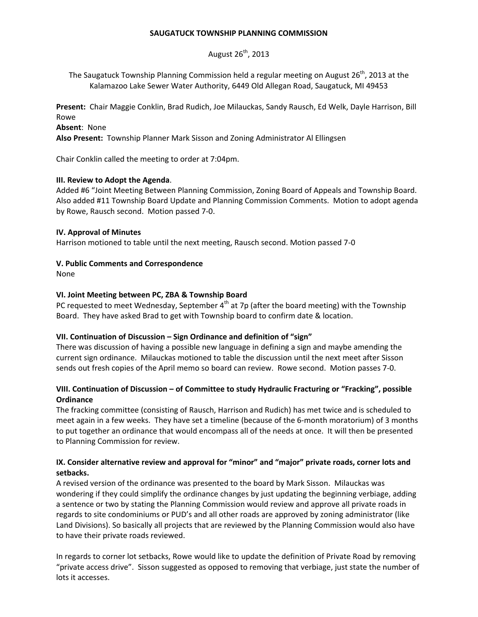#### **SAUGATUCK TOWNSHIP PLANNING COMMISSION**

August  $26<sup>th</sup>$ , 2013

The Saugatuck Township Planning Commission held a regular meeting on August  $26<sup>th</sup>$ , 2013 at the Kalamazoo Lake Sewer Water Authority, 6449 Old Allegan Road, Saugatuck, MI 49453

**Present:** Chair Maggie Conklin, Brad Rudich, Joe Milauckas, Sandy Rausch, Ed Welk, Dayle Harrison, Bill Rowe

**Absent**: None

**Also Present:** Township Planner Mark Sisson and Zoning Administrator Al Ellingsen

Chair Conklin called the meeting to order at 7:04pm.

### **III. Review to Adopt the Agenda**.

Added #6 "Joint Meeting Between Planning Commission, Zoning Board of Appeals and Township Board. Also added #11 Township Board Update and Planning Commission Comments. Motion to adopt agenda by Rowe, Rausch second. Motion passed 7-0.

#### **IV. Approval of Minutes**

Harrison motioned to table until the next meeting, Rausch second. Motion passed 7-0

### **V. Public Comments and Correspondence**

None

#### **VI. Joint Meeting between PC, ZBA & Township Board**

PC requested to meet Wednesday, September  $4<sup>th</sup>$  at 7p (after the board meeting) with the Township Board. They have asked Brad to get with Township board to confirm date & location.

### **VII. Continuation of Discussion – Sign Ordinance and definition of "sign"**

There was discussion of having a possible new language in defining a sign and maybe amending the current sign ordinance. Milauckas motioned to table the discussion until the next meet after Sisson sends out fresh copies of the April memo so board can review. Rowe second. Motion passes 7-0.

# **VIII. Continuation of Discussion – of Committee to study Hydraulic Fracturing or "Fracking", possible Ordinance**

The fracking committee (consisting of Rausch, Harrison and Rudich) has met twice and is scheduled to meet again in a few weeks. They have set a timeline (because of the 6-month moratorium) of 3 months to put together an ordinance that would encompass all of the needs at once. It will then be presented to Planning Commission for review.

# **IX. Consider alternative review and approval for "minor" and "major" private roads, corner lots and setbacks.**

A revised version of the ordinance was presented to the board by Mark Sisson. Milauckas was wondering if they could simplify the ordinance changes by just updating the beginning verbiage, adding a sentence or two by stating the Planning Commission would review and approve all private roads in regards to site condominiums or PUD's and all other roads are approved by zoning administrator (like Land Divisions). So basically all projects that are reviewed by the Planning Commission would also have to have their private roads reviewed.

In regards to corner lot setbacks, Rowe would like to update the definition of Private Road by removing "private access drive". Sisson suggested as opposed to removing that verbiage, just state the number of lots it accesses.